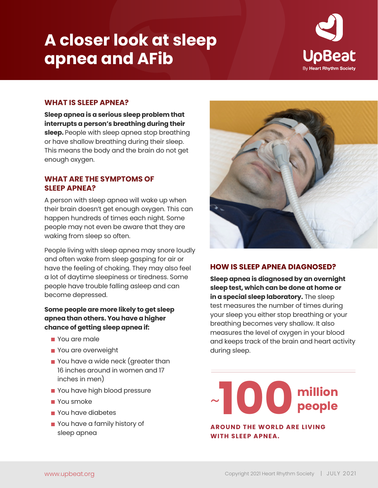# **A closer look at sleep apnea and AFib**



### **WHAT IS SLEEP APNEA?**

**Sleep apnea is a serious sleep problem that interrupts a person's breathing during their sleep.** People with sleep apnea stop breathing or have shallow breathing during their sleep. This means the body and the brain do not get enough oxygen.

## **WHAT ARE THE SYMPTOMS OF SLEEP APNEA?**

A person with sleep apnea will wake up when their brain doesn't get enough oxygen. This can happen hundreds of times each night. Some people may not even be aware that they are waking from sleep so often.

People living with sleep apnea may snore loudly and often wake from sleep gasping for air or have the feeling of choking. They may also feel a lot of daytime sleepiness or tiredness. Some people have trouble falling asleep and can become depressed.

### **Some people are more likely to get sleep apnea than others. You have a higher chance of getting sleep apnea if:**

- **You are male**
- You are overweight
- **P** You have a wide neck (greater than 16 inches around in women and 17 inches in men)
- **Part You have high blood pressure**
- You smoke
- **P** You have diabetes
- You have a family history of sleep apnea



# **HOW IS SLEEP APNEA DIAGNOSED?**

**Sleep apnea is diagnosed by an overnight sleep test, which can be done at home or in a special sleep laboratory.** The sleep test measures the number of times during your sleep you either stop breathing or your breathing becomes very shallow. It also measures the level of oxygen in your blood and keeps track of the brain and heart activity during sleep.

**1000 million**<br>AROUND THE WORLD ARE LIVING

# **AROUND THE WORLD ARE LIVING WITH SLEEP APNEA.**